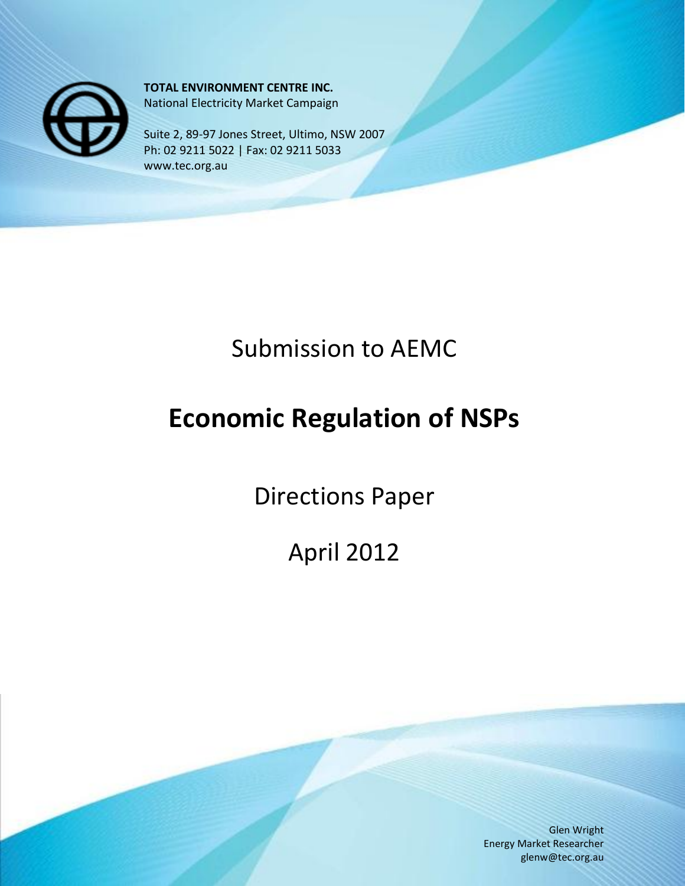

**TOTAL ENVIRONMENT CENTRE INC.** National Electricity Market Campaign

Suite 2, 89-97 Jones Street, Ultimo, NSW 2007 Ph: 02 9211 5022 | Fax: 02 9211 5033 www.tec.org.au

## Submission to AEMC

# **Economic Regulation of NSPs**

Directions Paper

April 2012

Glen Wright Energy Market Researcher glenw@tec.org.au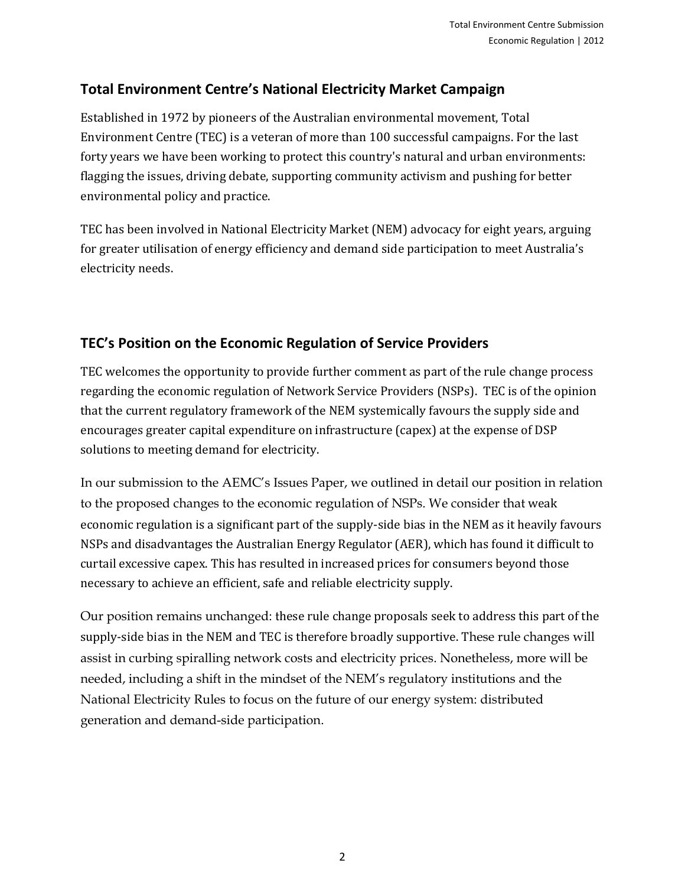#### **Total Environment Centre's National Electricity Market Campaign**

Established in 1972 by pioneers of the Australian environmental movement, Total Environment Centre (TEC) is a veteran of more than 100 successful campaigns. For the last forty years we have been working to protect this country's natural and urban environments: flagging the issues, driving debate, supporting community activism and pushing for better environmental policy and practice.

TEC has been involved in National Electricity Market (NEM) advocacy for eight years, arguing for greater utilisation of energy efficiency and demand side participation to meet Australia's electricity needs.

### **TEC's Position on the Economic Regulation of Service Providers**

TEC welcomes the opportunity to provide further comment as part of the rule change process regarding the economic regulation of Network Service Providers (NSPs). TEC is of the opinion that the current regulatory framework of the NEM systemically favours the supply side and encourages greater capital expenditure on infrastructure (capex) at the expense of DSP solutions to meeting demand for electricity.

In our submission to the AEMC's Issues Paper, we outlined in detail our position in relation to the proposed changes to the economic regulation of NSPs. We consider that weak economic regulation is a significant part of the supply-side bias in the NEM as it heavily favours NSPs and disadvantages the Australian Energy Regulator (AER), which has found it difficult to curtail excessive capex. This has resulted in increased prices for consumers beyond those necessary to achieve an efficient, safe and reliable electricity supply.

Our position remains unchanged: these rule change proposals seek to address this part of the supply-side bias in the NEM and TEC is therefore broadly supportive. These rule changes will assist in curbing spiralling network costs and electricity prices. Nonetheless, more will be needed, including a shift in the mindset of the NEM's regulatory institutions and the National Electricity Rules to focus on the future of our energy system: distributed generation and demand-side participation.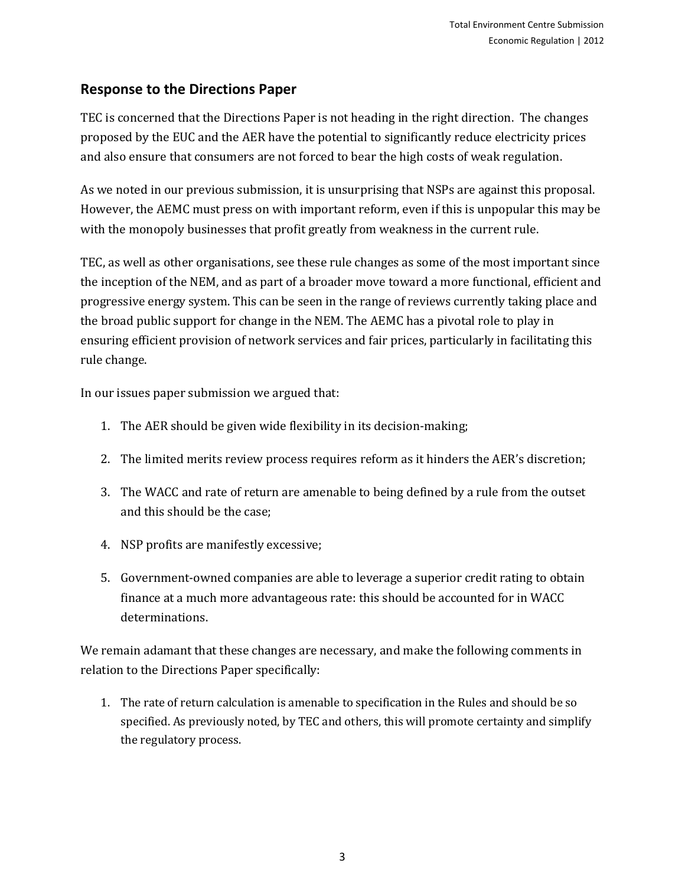#### **Response to the Directions Paper**

TEC is concerned that the Directions Paper is not heading in the right direction. The changes proposed by the EUC and the AER have the potential to significantly reduce electricity prices and also ensure that consumers are not forced to bear the high costs of weak regulation.

As we noted in our previous submission, it is unsurprising that NSPs are against this proposal. However, the AEMC must press on with important reform, even if this is unpopular this may be with the monopoly businesses that profit greatly from weakness in the current rule.

TEC, as well as other organisations, see these rule changes as some of the most important since the inception of the NEM, and as part of a broader move toward a more functional, efficient and progressive energy system. This can be seen in the range of reviews currently taking place and the broad public support for change in the NEM. The AEMC has a pivotal role to play in ensuring efficient provision of network services and fair prices, particularly in facilitating this rule change.

In our issues paper submission we argued that:

- 1. The AER should be given wide flexibility in its decision-making;
- 2. The limited merits review process requires reform as it hinders the AER's discretion;
- 3. The WACC and rate of return are amenable to being defined by a rule from the outset and this should be the case;
- 4. NSP profits are manifestly excessive;
- 5. Government-owned companies are able to leverage a superior credit rating to obtain finance at a much more advantageous rate: this should be accounted for in WACC determinations.

We remain adamant that these changes are necessary, and make the following comments in relation to the Directions Paper specifically:

1. The rate of return calculation is amenable to specification in the Rules and should be so specified. As previously noted, by TEC and others, this will promote certainty and simplify the regulatory process.